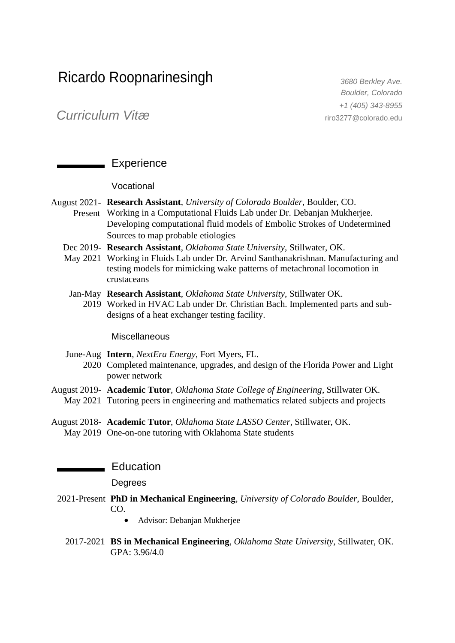# Ricardo Roopnarinesingh *3680 Berkley Ave.*

*Boulder, Colorado +1 (405) 343-8955* riro3277@colorado.edu

*Curriculum Vitæ*

# Experience

### Vocational

- August 2021- **Research Assistant**, *University of Colorado Boulder*, Boulder, CO. Present Working in a Computational Fluids Lab under Dr. Debanjan Mukherjee. Developing computational fluid models of Embolic Strokes of Undetermined Sources to map probable etiologies
	- Dec 2019- **Research Assistant**, *Oklahoma State University*, Stillwater, OK.
	- May 2021 Working in Fluids Lab under Dr. Arvind Santhanakrishnan. Manufacturing and testing models for mimicking wake patterns of metachronal locomotion in crustaceans
	- Jan-May **Research Assistant**, *Oklahoma State University*, Stillwater OK.
		- 2019 Worked in HVAC Lab under Dr. Christian Bach. Implemented parts and subdesigns of a heat exchanger testing facility.

#### **Miscellaneous**

- June-Aug **Intern**, *NextEra Energy*, Fort Myers, FL.
	- 2020 Completed maintenance, upgrades, and design of the Florida Power and Light power network
- August 2019- **Academic Tutor**, *Oklahoma State College of Engineering*, Stillwater OK.
- May 2021 Tutoring peers in engineering and mathematics related subjects and projects
- August 2018- **Academic Tutor**, *Oklahoma State LASSO Center*, Stillwater, OK. May 2019 One-on-one tutoring with Oklahoma State students

## - Education

## **Degrees**

- 2021-Present **PhD in Mechanical Engineering**, *University of Colorado Boulder*, Boulder, CO.
	- Advisor: Debanjan Mukherjee
	- 2017-2021 **BS in Mechanical Engineering**, *Oklahoma State University*, Stillwater, OK. GPA: 3.96/4.0